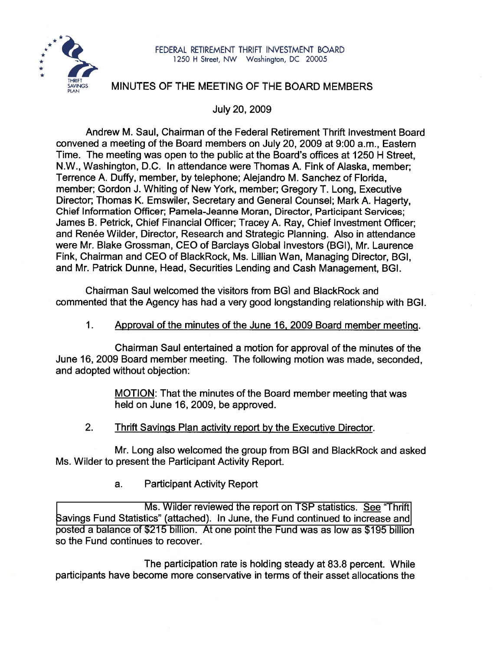

## **MINUTES OF THE MEETING OF THE BOARD MEMBERS**

July 20,2009

Andrew M. Saul, Chairman of the Federal Retirement Thrift lnvestment Board convened a meeting of the Board members on July 20, 2009 at 9:00 a.m., Eastern Time. The meeting was open to the public at the Board's offices at 1250 H Street, N.W., Washington, D.C. In attendance were Thomas A. Fink of Alaska, member; Terrence A. Duffy, member, by telephone; Alejandro M. Sanchez of Florida, member; Gordon J. Whiting of New York, member; Gregory T. Long, Executive Director; Thomas K. Emswiler, Secretary and General Counsel; Mark A. Hagerty, Chief Information Officer; Pamela-Jeanne Moran, Director, Participant Services; James B. Petrick, Chief Financial Officer; Tracey A. Ray, Chief lnvestment Officer; and Renée Wilder, Director, Research and Strategic Planning. Also in attendance were Mr. Blake Grossman, CEO of Barclays Global Investors (BGI), Mr. Laurence Fink, Chairman and CEO of BlackRock, Ms. Lillian Wan, Managing Director, BGI, and Mr. Patrick Dunne, Head, Securities Lending and Cash Management, BGI.

Chairman Saul welcomed the visitors from BG) and BlackRock and commented that the Agency has had a very good longstanding relationship with BGI.

#### $1<sub>1</sub>$ Approval of the minutes of the June 16, 2009 Board member meetinq.

Chairman Saul entertained a motion for approval of the minutes of the June 16,2009 Board member meeting. The following motion was made, seconded, and adopted without objection:

> MOTION: That the minutes of the Board member meeting that was held on June 16, 2009, be approved.

 $2.$ Thrift Savings Plan activity report bv the Executive Director.

Mr. Long also welcomed the group from BGI and BlackRock and asked Ms. Wilder to present the Participant Activity Report.

> Participant Activity Report a.

Ms. Wilder reviewed the report on TSP statistics. **See** "Thrift [Savings Fund Statistics" \(attached\). In June, the Fund continued to increase and](http://www.frtib.gov/pdf/minutes/MM-2009Jul-Att1.pdf) posted a balance of \$215 billion. At one point the Fund was as low as \$195 billion so the Fund continues to recover.

The participation rate is holding steady at 83.8 percent. While participants have become more conservative in terms of their asset allocations the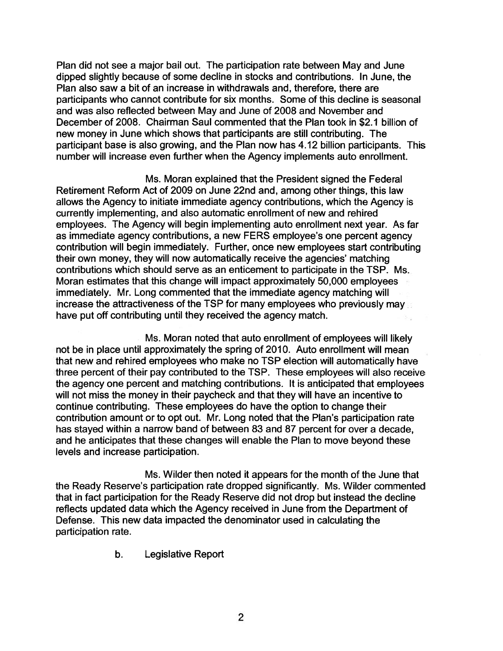Plan did not see a major bail out. The participation rate between May and June dipped slightly because of some decline in stocks and contributions. In June, the Plan also saw a bit of an increase in withdrawals and, therefore, there are participants who cannot contribute for six months. Some of this decline is seasonal and was also reflected between May and June of 2008 and November and December of 2008. Chairman Saul commented that the Plan took in \$2.1 billion of new money in June which shows that participants are still contributing. The participant base is also growing, and the Plan now has 4.12 billion participants. This number will increase even further when the Agency implements auto enrollment.

Ms. Moran explained that the President signed the Federal Retirement Reform Act of 2009 on June 22nd and, among other things, this law allows the Agency to initiate immediate agency contributions, which the Agency is currently implementing, and also automatic enrollment of new and rehired employees. The Agency will begin implementing auto enrollment next year. As far as immediate agency contributions, a new FERS employee's one percent agency contribution will begin immediately. Further, once new employees start contributing their own money, they will now automatically receive the agencies' matching contributions which should serve as an enticement to participate in the TSP. Ms.. Moran estimates that this change will impact approximately 50,000 employees immediately. Mr. Long commented that the immediate agency matching will increase the attractiveness of the TSP for many employees who previously may.. have put off contributing until they received the agency match.

Ms. Moran noted that auto enrollment of employees will likely not be in place until approximately the spring of 2010. Auto enrollment will mean that new and rehired employees who make no TSP election will automatically have three percent of their pay contributed to the TSP. These employees will also receive the agency one percent and matching contributions. It is anticipated that employees will not miss the money in their paycheck and that they will have an incentive to continue contributing. These employees do have the option to change their contribution amount or to opt out. Mr. Long noted that the Plan's participation rate has stayed within a narrow band of between 83 and 87 percent for over a decade, and he anticipates that these changes will enable the Plan to move beyond these levels and increase participation.

Ms. Wilder then noted it appears for the month of the June that the Ready Reserve's participation rate dropped significantly. Ms. Wilder commented that in fact participation for the Ready Reserve did not drop but instead the decline reflects updated data which the Agency received in June from the Department of Defense. This new data impacted the denominator used in calculating the participation rate.

b. Legislative Report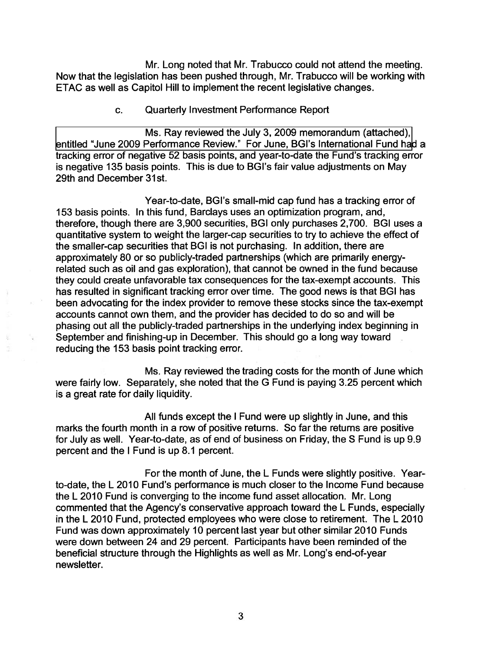Mr. Long noted that Mr. Trabucco could not attend the meeting. Now that the legislation has been pushed through, Mr. Trabucco will be working with ETAC as well as Capitol Hill to implement the recent legislative changes.

### c. Quarterly Investment Performance Report

Ms. Ray reviewed the July 3,2009 memorandum (attached), [entitled "June 2009 Performance Review." For June, BGl's International Fund ha](http://www.frtib.gov/pdf/minutes/MM-2009Jul-Att2.pdf)d a tracking error of negative 52 basis points, and year-to-date the Fund's tracking error is negative 135 basis points. This is due to BGl's fair value adjustments on May 29th and December 31st.

Year-to-date, BGl's small-mid cap fund has a tracking error of 153 basis points. In this fund, Barclays uses an optimization program, and, therefore, though there are 3,900 securities, BGI only purchases 2,700. BGI uses a quantitative system to weight the larger-cap securities to try to achieve the effect of the smaller-cap securities that BGI is not purchasing. In addition, there are approximately 80 or so publicly-traded partnerships (which are primarily energyrelated such as oil and gas exploration), that cannot be owned in the fund because they could create unfavorable tax consequences for the tax-exempt accounts. This has resulted in significant tracking error over time. The good news is that BGI has been advocating for the index provider to remove these stocks since the tax-exempt accounts cannot own them, and the provider has decided to do so and will be phasing out all the publicly-traded partnerships in the underlying index beginning in . September and finishing-up in December. This should go a long way toward reducing the 153 basis point tracking error.

Ms. Ray reviewed the trading costs for the month of June which were fairly low. Separately, she noted that the G Fund is paying 3.25 percent which is a great rate for daily liquidity.

All funds except the I Fund were up slightly in June, and this marks the fourth month in a row of positive returns. So far the returns are positive for July as well. Year-to-date, as of end of business on Friday, the S Fund is up 9.9 percent and the I Fund is up 8.1 percent.

For the month of June, the L Funds were slightly positive. Yearto-date, the L 2010 Fund's performance is much closer to the Income Fund because the L 2010 Fund is converging to the income fund asset allocation. Mr. Long commented that the Agency's conservative approach toward the L Funds, especially in the L 2010 Fund, protected employees who were close to retirement. The L 2010 Fund was down approximately 10 percent last year but other similar 2010 Funds were down between 24 and 29 percent. Participants have been reminded of the beneficial structure through the Highlights as well as Mr. Long's end-of-year newsletter.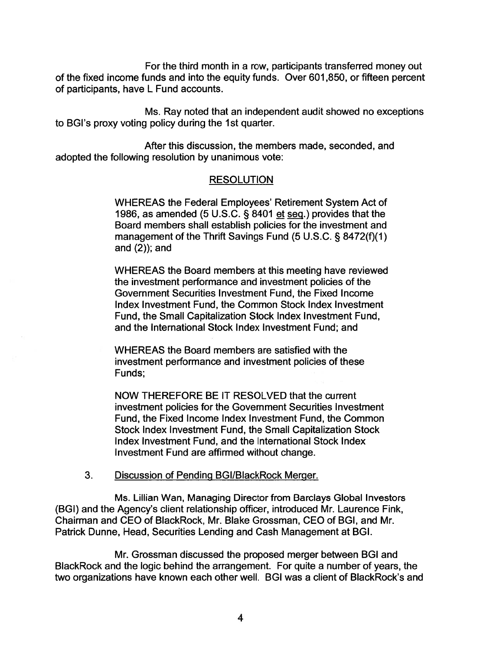For the third month in a row, participants transferred money out of the fixed income funds and into the equity funds. Over 601,850, or fifteen percent of participants, have L Fund accounts.

Ms. Ray noted that an independent audit showed no exceptions to BGI's proxy voting policy during the 1st quarter.

After this discussion, the members made, seconded, and adopted the following resolution by unanimous vote:

## RESOLUTION

WHEREAS the Federal Employees' Retirement System Act of 1986, as amended (5 U.S.C. § 8401 et seq.) provides that the Board members shall establish policies for the investment and management of the Thrift Savings Fund (5 U.S.C. § 8472(f)(1) and (2)); and

WHEREAS the Board members at this meeting have reviewed the investment performance and investment policies of the Government Securities lnvestment Fund, the Fixed lncome lndex lnvestment Fund, the Common Stock lndex lnvestment Fund, the Small Capitalization Stock lndex lnvestment Fund, and the lnternational Stock lndex lnvestment Fund; and

WHEREAS the Board members are satisfied with the investment performance and investment policies of these Funds;

NOW THEREFORE BE IT RESOLVED that the current investment policies for the Government Securities lnvestment Fund, the Fixed lncome lndex lnvestment Fund, the Common Stock lndex lnvestment Fund, the Small Capitalization Stock lndex lnvestment Fund, and the lnternational Stock lndex lnvestment Fund are affirmed without change.

### **3.** Discussion of Pending BGI/BlackRock Merger.

Ms. Lillian Wan, Managing Director from Barclays Global Investors (BGI) and the Agency's client relationship officer, introduced Mr. Laurence Fink, Chairman and CEO of BlackRock, Mr. Blake Grossman, CEO of BGI, and Mr. Patrick Dunne, Head, Securities Lending and Cash Management at BGI.

Mr. Grossman discussed the proposed merger between BGI and BlackRock and the logic behind the arrangement. For quite a number of years, the two organizations have known each other well. BGI was a client of BlackRock's and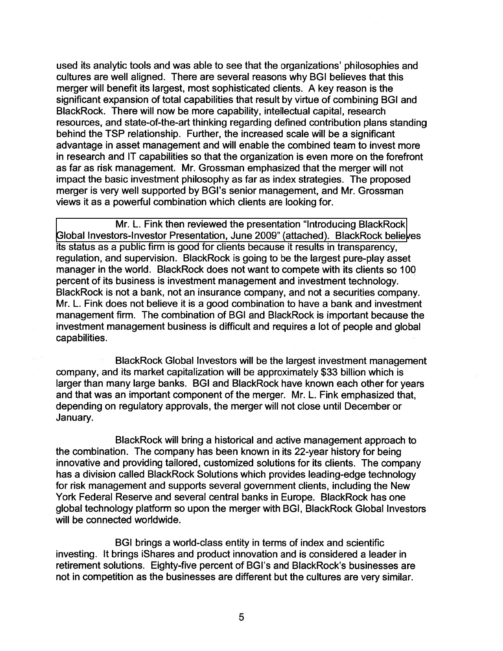used its analytic tools and was able to see that the organizations' philosophies and cultures are well aligned. There are several reasons why BGI believes that this merger will benefit its largest, most sophisticated clients. A key reason is the significant expansion of total capabilities that result by virtue of combining BGI and BlackRock. There will now be more capability, intellectual capital, research resources, and state-of-the-art thinking regarding defined contribution plans standing behind the TSP relationship. Further, the increased scale will be a significant advantage in asset management and will enable the combined team to invest more in research and IT capabilities so that the organization is even more on the forefront as far as risk management. Mr. Grossman emphasized that the merger will not impact the basic investment philosophy as far as index strategies. The proposed merger is very well supported by BGl's senior management, and Mr. Grossman views it as a powerful combination which clients are looking for.

Mr. L. Fink then reviewed the presentation "Introducing BlackRock [Global Investors-Investor Presentation, June 2009" \(attached\). BlackRock believ](http://www.frtib.gov/pdf/minutes/MM-2009Jul-Att3.pdf)es its status as a public firm is good for clients because it results in transparency, regulation, and supervision. BlackRock is going to be the largest pure-play asset manager in the world. BlackRock does not want to compete with its clients so 100 percent of its business is investment management and investment technology. BlackRock is not a bank, not an insurance company, and not a securities company. Mr. L. Fink does not believe it is a good combination to have a bank and investment management firm. The combination of BGI and BlackRock is important because the investment management business is difficult and requires a lot of people and global capabilities.

BlackRock Global Investors will be the largest investment management company, and its market capitalization will be approximately \$33 billion which is larger than many large banks. BGI and BlackRock have known each other for years and that was an important component of the merger. Mr. L. Fink emphasized that, depending on regulatory approvals, the merger will not close until December or January.

BlackRock will bring a historical and active management approach to the combination. The company has been known in its 22-year history for being innovative and providing tailored, customized solutions for its clients. The company has a division called BlackRock Solutions which provides leading-edge technology for risk management and supports several government clients, including the New York Federal Reserve and several central banks in Europe. BlackRock has one global technology platform so upon the merger with BGI, BlackRock Global Investors will be connected worldwide.

BGI brings a world-class entity in terms of index and scientific investing. It brings iShares and product innovation and is considered a leader in retirement solutions. Eighty-five percent of BGl's and BlackRock's businesses are not in competition as the businesses are different but the cultures are very similar.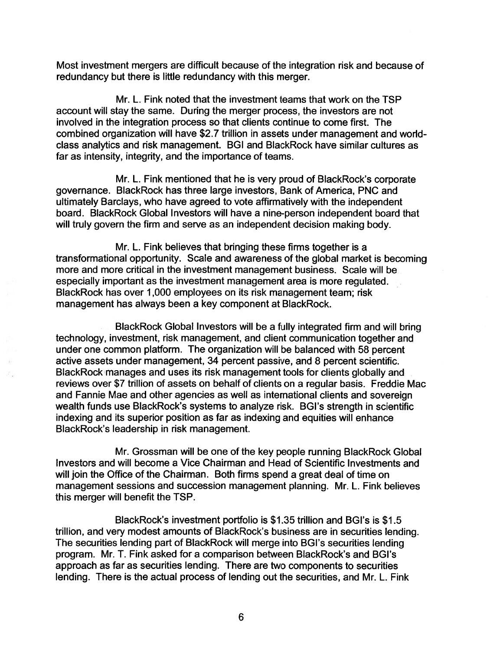Most investment mergers are difficult because of the integration risk and because of redundancy but there is little redundancy with this merger.

Mr. L. Fink noted that the investment teams that work on the TSP account will stay the same. During the merger process, the investors are not involved in the integration process so that clients continue to come first. The combined organization will have \$2.7 trillion in assets under management and worldclass analytics and risk management. BGI and BlackRock have similar cultures as far as intensity, integrity, and the importance of teams.

Mr. L. Fink mentioned that he is very proud of BlackRock's corporate governance. BlackRock has three large investors, Bank of America, PNC and ultimately Barclays, who have agreed to vote affirmatively with the independent board. BlackRock Global lnvestors will have a nine-person independent board that will truly govern the firm and serve as an independent decision making body.

Mr. L. Fink believes that bringing these firms together is a transformational opportunity. Scale and awareness of the global market is becoming more and more critical in the investment management business. Scale will be especially important as the investment management area is more regulated. BlackRock has over 1,000 employees on its risk management team; risk management has always been a key component at BlackRock.

BlackRock Global lnvestors will be a fully integrated firm and will bring technology, investment, risk management, and client communication together and under one common platform. The organization will be balanced with 58 percent active assets under management, 34 percent passive, and 8 percent scientific. BlackRock manages and uses its risk management tools for clients globally and reviews over \$7 trillion of assets on behalf of clients on a regular basis. Freddie Mac and Fannie Mae and other agencies as well as international clients and sovereign wealth funds use BlackRock's systems to analyze risk. BGl's strength in scientific indexing and its superior position as far as indexing and equities will enhance BlackRock's leadership in risk management.

Mr. Grossman will be one of the key people running BlackRock Global lnvestors and will become a Vice Chairman and Head of Scientific Investments and will join the Office of the Chairman. Both firms spend a great deal of time on management sessions and succession management planning. Mr. L. Fink believes this merger will benefit the TSP.

BlackRock's investment portfolio is \$1.35 trillion and BGl's is \$1.5 trillion, and very modest amounts of BlackRock's business are in securities lending. The securities lending part of BlackRock will merge into BGl's securities lending program. Mr. T. Fink asked for a comparison between BlackRock's and BGl's approach as far as securities lending. There are two components to securities lending. There is the actual process of lending out the securities, and Mr. L. Fink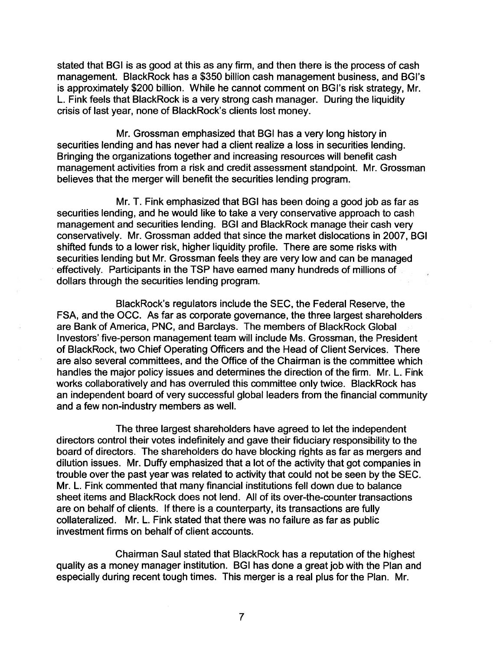stated that BGI is as good at this as any firm, and then there is the process of cash management. BlackRock has a \$350 billion cash management business, and BGl's is approximately \$200 billion. While he cannot comment on BGl's risk strategy, Mr. L. Fink feels that BlackRock is a very strong cash manager. During the liquidity crisis of last year, none of BlackRock's clients lost money.

Mr. Grossman emphasized that BGI has a very long history in securities lending and has never had a client realize a loss in securities lending. Bringing the organizations together and increasing resources will benefit cash management activities from a risk and credit assessment standpoint. Mr. Grossman believes that the merger will benefit the securities lending program.

Mr. T. Fink emphasized that BGI has been doing a good job as far as securities lending, and he would like to take a very conservative approach to cash management and securities lending. BGI and BlackRock manage their cash very conservatively. Mr. Grossman added that since the market dislocations in 2007, BGI shifted funds to a lower risk, higher liquidity profile. There are some risks with securities lending but Mr. Grossman feels they are very low and can be managed effectively. Participants in the TSP have earned many hundreds of millions of dollars through the securities lending program.

BlackRock's regulators include the SEC, the Federal Reserve, the FSA, and the OCC. As far as corporate governance, the three largest shareholders are Bank of America, PNC, and Barclays. The members of BlackRock Global Investors' five-person management team will include Ms. Grossman, the President of BlackRock, two Chief Operating Officers and the Head of Client Services. There are also several committees, and the Office of the Chairman is the committee which handles the major policy issues and determines the direction of the firm. Mr. L. Fink. works collaboratively and has overruled this committee only twice. BlackRock has an independent board of very successful global leaders from the financial community and a few non-industry members as well.

The three largest shareholders have agreed to let the independent directors control their votes indefinitely and gave their fiduciary responsibility to the board of directors. The shareholders do have blocking rights as far as mergers and dilution issues. Mr. Duffy emphasized that a lot of the activity that got companies in trouble over the past year was related to activity that could not be seen by the SEC. Mr. L. Fink commented that many financial institutions fell down due to balance sheet items and BlackRock does not lend. All of its over-the-counter transactions are on behalf of clients. If there is a counterparty, its transactions are fully collateralized. Mr. L. Fink stated that there was no failure as far as public investment firms on behalf of client accounts.

Chairman Saul stated that BlackRock has a reputation of the highest quality as a money manager institution. BGI has done a great job with the Plan and especially during recent tough times. This merger is a real plus for the Plan. Mr.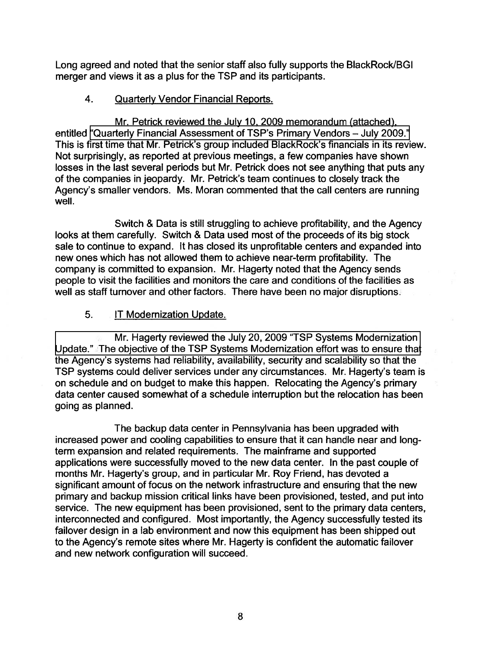Long agreed and noted that the senior staff also fully supports the BlackRock/BGI merger and views it as a plus for the TSP and its participants.

# 4. Quarterlv Vendor Financial Reports.

Mr. Petrick reviewed the July 10,2009 memorandum (attached), entitled "Quarterly Financial Assessment of TSP's Primary Vendors - July 2009." This is first time that Mr. Petrick's group included BlackRock's financials in its review. Not surprisingly, as reported at previous meetings, a few companies have shown losses in the last several periods but Mr. Petrick does not see anything that puts any of the companies in jeopardy. Mr. Petrick's team continues to closely track the Agency's smaller vendors. Ms. Moran commented that the call centers are running well.

Switch & Data is still struggling to achieve profitability, and the Agency looks at them carefully. Switch & Data used most of the proceeds of its big stock sale to continue to expand. It has closed its unprofitable centers and expanded into new ones which has not allowed them to achieve near-term profitability. The company is committed to expansion. Mr. Hagerty noted that the Agency sends people to visit the facilities and monitors the care and conditions of the facilities as well as staff turnover and other factors. There have been no major disruptions.

# 5. IT Modernization Update.

Mr. Hagerty reviewed the July 20, 2009 "TSP Systems Modernization [Update." The objective of the TSP Systems Modernization effort was to ensure that](http://www.frtib.gov/pdf/minutes/MM-2009Jul-Att5.pdf) the Agency's systems had reliability, availability, security and scalability so that the TSP systems could deliver services under any circumstances. Mr. Hagerty's team is on schedule and on budget to make this happen. Relocating the Agency's primary data center caused somewhat of a schedule interruption but the relocation has been going as planned.

The backup data center in Pennsylvania has been upgraded with increased power and cooling capabilities to ensure that it can handle near and longterm expansion and related requirements. The mainframe and supported applications were successfully moved to the new data center. In the past couple of months Mr. Hagerty's group, and in particular Mr. Roy Friend, has devoted a significant amount of focus on the network infrastructure and ensuring that the new primary and backup mission critical links have been provisioned, tested, and put into service. The new equipment has been provisioned, sent to the primary data centers, interconnected and configured. Most importantly, the Agency successfully tested its failover design in a lab environment and now this equipment has been shipped out to the Agency's remote sites where Mr. Hagerty is confident the automatic failover and new network configuration will succeed.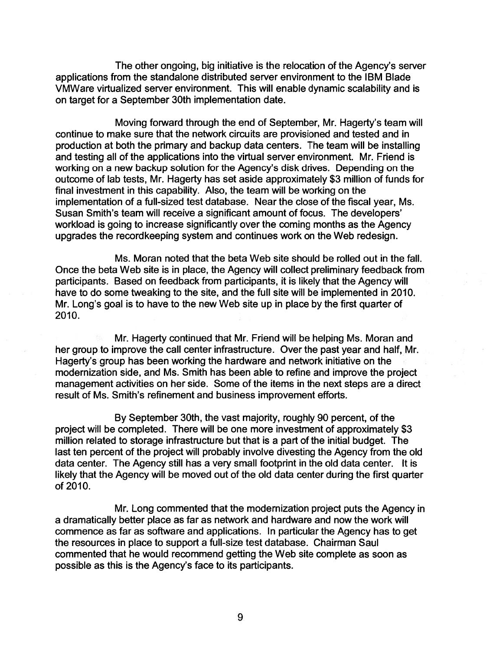The other ongoing, big initiative is the relocation of the Agency's server applications from the standalone distributed server environment to the IBM Blade VMWare virtualized server environment. This will enable dynamic scalability and is on target for a September 30th implementation date.

Moving forward through the end of September, Mr. Hagerty's team will continue to make sure that the network circuits are provisioned and tested and in production at both the primary and backup data centers. The team will be installing and testing all of the applications into the virtual server environment. Mr. Friend is working on a new backup solution for the Agency's disk drives. Depending on the outcome of lab tests, Mr. Hagerty has set aside approximately \$3 million of funds for final investment in this capability. Also, the team will be working on the implementation of a full-sized test database. Near the close of the fiscal year, Ms. Susan Smith's team will receive a significant amount of focus. The developers' workload is going to increase significantly over the coming months as the Agency upgrades the recordkeeping system and continues work on the Web redesign.

Ms. Moran noted that the beta Web site should be rolled out in the fall. Once the beta Web site is in place, the Agency will collect preliminary feedback from participants. Based on feedback from participants, it is likely that the Agency will have to do some tweaking to the site, and the full site will be implemented in 2010. Mr. Long's goal is to have to the new Web site up in place by the first quarter of 2010.

Mr. Hagerty continued that Mr. Friend will be helping Ms. Moran and her group to improve the call center infrastructure. Over the past year and half, Mr. Hagerty's group has been working the hardware and network initiative on the modernization side, and Ms. Smith has been able to refine and improve the project management activities on her side. Some of the items in the next steps are a direct result of Ms. Smith's refinement and business improvement efforts.

By September 30th, the vast majority, roughly 90 percent, of the project will be completed. There will be one more investment of approximately \$3 million related to storage infrastructure but that is a part of the initial budget. The last ten percent of the project will probably involve divesting the Agency from the old data center. The Agency still has a very small footprint in the old data center. It is likely that the Agency will be moved out of the old data center during the first quarter of 2010.

Mr. Long commented that the modernization project puts the Agency in a dramatically better place as far as network and hardware and now the work will commence as far as software and applications. In particular the Agency has to get the resources in place to support a full-size test database. Chairman Saul commented that he would recommend getting the Web site complete as soon as possible as this is the Agency's face to its participants.